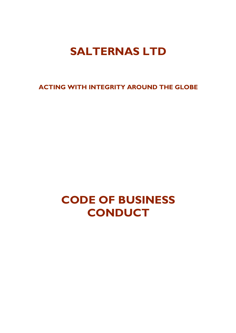# **SALTERNAS LTD**

**ACTING WITH INTEGRITY AROUND THE GLOBE**

# **CODE OF BUSINESS CONDUCT**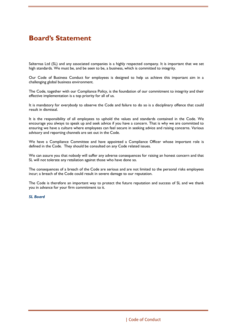# **Board's Statement**

Salternas Ltd (SL) and any associated companies is a highly respected company. It is important that we set high standards. We must be, and be seen to be, a business, which is committed to integrity.

Our Code of Business Conduct for employees is designed to help us achieve this important aim in a challenging global business environment.

The Code, together with our Compliance Policy, is the foundation of our commitment to integrity and their effective implementation is a top priority for all of us.

It is mandatory for everybody to observe the Code and failure to do so is a disciplinary offence that could result in dismissal.

It is the responsibility of all employees to uphold the values and standards contained in the Code. We encourage you always to speak up and seek advice if you have a concern. That is why we are committed to ensuring we have a culture where employees can feel secure in seeking advice and raising concerns. Various advisory and reporting channels are set out in the Code.

We have a Compliance Committee and have appointed a Compliance Officer whose important role is defined in the Code. They should be consulted on any Code related issues.

We can assure you that nobody will suffer any adverse consequences for raising an honest concern and that SL will not tolerate any retaliation against those who have done so.

The consequences of a breach of the Code are serious and are not limited to the personal risks employees incur; a breach of the Code could result in severe damage to our reputation.

The Code is therefore an important way to protect the future reputation and success of SL and we thank you in advance for your firm commitment to it.

#### *SL Board*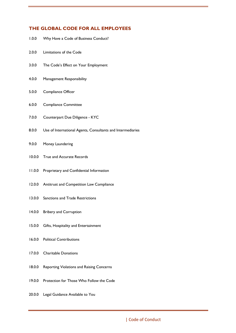# **THE GLOBAL CODE FOR ALL EMPLOYEES**

- 1.0.0 Why Have a Code of Business Conduct?
- 2.0.0 Limitations of the Code
- 3.0.0 The Code's Effect on Your Employment
- 4.0.0 Management Responsibility
- 5.0.0 Compliance Officer
- 6.0.0 Compliance Committee
- 7.0.0 Counterpart Due Diligence KYC
- 8.0.0 Use of International Agents, Consultants and Intermediaries
- 9.0.0 Money Laundering
- 10.0.0 True and Accurate Records
- 11.0.0 Proprietary and Confidential Information
- 12.0.0 Antitrust and Competition Law Compliance
- 13.0.0 Sanctions and Trade Restrictions
- 14.0.0 Bribery and Corruption
- 15.0.0 Gifts, Hospitality and Entertainment
- 16.0.0 Political Contributions
- 17.0.0 Charitable Donations
- 18.0.0 Reporting Violations and Raising Concerns
- 19.0.0 Protection for Those Who Follow the Code
- 20.0.0 Legal Guidance Available to You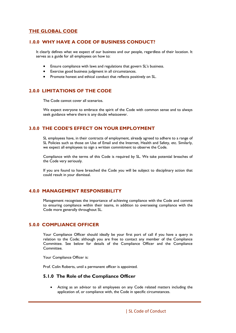# **THE GLOBAL CODE**

#### **1.0.0 WHY HAVE A CODE OF BUSINESS CONDUCT?**

It clearly defines what we expect of our business and our people, regardless of their location. It serves as a guide for all employees on how to:

- Ensure compliance with laws and regulations that govern SL's business.
- Exercise good business judgment in all circumstances.
- Promote honest and ethical conduct that reflects positively on SL.

# **2.0.0 LIMITATIONS OF THE CODE**

The Code cannot cover all scenarios.

We expect everyone to embrace the spirit of the Code with common sense and to always seek guidance where there is any doubt whatsoever.

# **3.0.0 THE CODE'S EFFECT ON YOUR EMPLOYMENT**

SL employees have, in their contracts of employment, already agreed to adhere to a range of SL Policies such as those on Use of Email and the Internet, Health and Safety, etc. Similarly, we expect all employees to sign a written commitment to observe the Code.

Compliance with the terms of this Code is required by SL. We take potential breaches of the Code very seriously.

If you are found to have breached the Code you will be subject to disciplinary action that could result in your dismissal.

# **4.0.0 MANAGEMENT RESPONSIBILITY**

Management recognises the importance of achieving compliance with the Code and commit to ensuring compliance within their teams, in addition to overseeing compliance with the Code more generally throughout SL.

# **5.0.0 COMPLIANCE OFFICER**

Your Compliance Officer should ideally be your first port of call if you have a query in relation to the Code; although you are free to contact any member of the Compliance Committee. See below for details of the Compliance Officer and the Compliance Committee.

Your Compliance Officer is:

Prof. Colin Roberts, until a permanent officer is appointed.

#### **5.1.0 The Role of the Compliance Officer**

Acting as an advisor to all employees on any Code related matters including the application of, or compliance with, the Code in specific circumstances.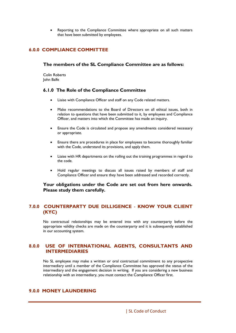Reporting to the Compliance Committee where appropriate on all such matters that have been submitted by employees.

#### **6.0.0 COMPLIANCE COMMITTEE**

#### **The members of the SL Compliance Committee are as follows:**

Colin Roberts John Balfe

#### **6.1.0 The Role of the Compliance Committee**

- Liaise with Compliance Officer and staff on any Code related matters.
- Make recommendations to the Board of Directors on all ethical issues, both in relation to questions that have been submitted to it, by employees and Compliance Officer, and matters into which the Committee has made an inquiry.
- Ensure the Code is circulated and propose any amendments considered necessary or appropriate.
- Ensure there are procedures in place for employees to become thoroughly familiar with the Code, understand its provisions, and apply them.
- Liaise with HR departments on the rolling out the training programmes in regard to the code.
- Hold regular meetings to discuss all issues raised by members of staff and Compliance Officer and ensure they have been addressed and recorded correctly.

#### **Your obligations under the Code are set out from here onwards. Please study them carefully.**

#### **7.0.0 COUNTERPARTY DUE DILLIGENCE** - **KNOW YOUR CLIENT (KYC)**

No contractual relationships may be entered into with any counterparty before the appropriate validity checks are made on the counterparty and it is subsequently established in our accounting system.

#### **8.0.0 USE OF INTERNATIONAL AGENTS, CONSULTANTS AND INTERMEDIARIES**

No SL employee may make a written or oral contractual commitment to any prospective intermediary until a member of the Compliance Committee has approved the status of the intermediary and the engagement decision in writing. If you are considering a new business relationship with an intermediary, you must contact the Compliance Officer first.

# **9.0.0 MONEY LAUNDERING**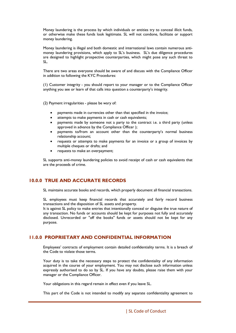Money laundering is the process by which individuals or entities try to conceal illicit funds, or otherwise make these funds look legitimate. SL will not condone, facilitate or support money laundering.

Money laundering is illegal and both domestic and international laws contain numerous antimoney laundering provisions, which apply to SL's business. SL's due diligence procedures are designed to highlight prospective counterparties, which might pose any such threat to SL.

There are two areas everyone should be aware of and discuss with the Compliance Officer in addition to following the KYC Procedures:

(1) Customer integrity - you should report to your manager or to the Compliance Officer anything you see or learn of that calls into question a counterparty's integrity.

(2) Payment irregularities - please be wary of:

- payments made in currencies other than that specified in the invoice;
- attempts to make payments in cash or cash equivalents;
- payments made by someone not a party to the contract i.e. a third party (unless approved in advance by the Compliance Officer );
- payments to/from an account other than the counterparty's normal business relationship account;
- requests or attempts to make payments for an invoice or a group of invoices by multiple cheques or drafts; and
- requests to make an overpayment;

SL supports anti-money laundering policies to avoid receipt of cash or cash equivalents that are the proceeds of crime.

#### **10.0.0 TRUE AND ACCURATE RECORDS**

SL maintains accurate books and records, which properly document all financial transactions.

SL employees must keep financial records that accurately and fairly record business transactions and the disposition of SL assets and property.

It is against SL policy to make entries that intentionally conceal or disguise the true nature of any transaction. No funds or accounts should be kept for purposes not fully and accurately disclosed. Unrecorded or "off the books" funds or assets should not be kept for any purpose.

#### **11.0.0 PROPRIETARY AND CONFIDENTIAL INFORMATION**

Employees' contracts of employment contain detailed confidentiality terms. It is a breach of the Code to violate those terms.

Your duty is to take the necessary steps to protect the confidentiality of any information acquired in the course of your employment. You may not disclose such information unless expressly authorised to do so by SL. If you have any doubts, please raise them with your manager or the Compliance Officer.

Your obligations in this regard remain in effect even if you leave SL.

This part of the Code is not intended to modify any separate confidentiality agreement to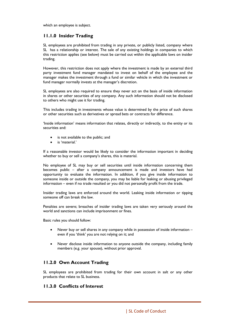which an employee is subject.

#### **11.1.0 Insider Trading**

SL employees are prohibited from trading in any private, or publicly listed, company where SL has a relationship or interest. The sale of any existing holdings in companies to which this restriction applies (see below) must be carried out within the applicable laws on insider trading.

However, this restriction does not apply where the investment is made by an external third party investment fund manager mandated to invest on behalf of the employee and the manager makes the investment through a fund or similar vehicle in which the investment or fund manager normally invests at the manager's discretion.

SL employees are also required to ensure they never act on the basis of inside information in shares or other securities of any company. Any such information should not be disclosed to others who might use it for trading.

This includes trading in investments whose value is determined by the price of such shares or other securities such as derivatives or spread bets or contracts for difference.

'Inside information' means information that relates, directly or indirectly, to the entity or its securities and:

- is not available to the public; and
- is 'material.'

If a reasonable investor would be likely to consider the information important in deciding whether to buy or sell a company's shares, this is material.

No employee of SL may buy or sell securities until inside information concerning them becomes public – after a company announcement is made and investors have had opportunity to evaluate the information. In addition, if you give inside information to someone inside or outside the company, you may be liable for leaking or abusing privileged information – even if no trade resulted or you did not personally profit from the trade.

Insider trading laws are enforced around the world. Leaking inside information or tipping someone off can break the law.

Penalties are severe; breaches of insider trading laws are taken very seriously around the world and sanctions can include imprisonment or fines.

Basic rules you should follow:

- Never buy or sell shares in any company while in possession of inside information even if you 'think' you are not relying on it; and
- Never disclose inside information to anyone outside the company, including family members (e.g. your spouse), without prior approval.

#### **11.2.0 Own Account Trading**

SL employees are prohibited from trading for their own account in salt or any other products that relate to SL business.

#### **11.3.0 Conflicts of Interest**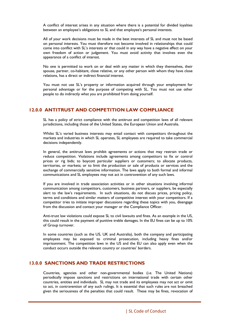A conflict of interest arises in any situation where there is a potential for divided loyalties between an employee's obligations to SL and that employee's personal interests.

All of your work decisions must be made in the best interests of SL and must not be based on personal interests. You must therefore not become involved in relationships that could come into conflict with SL's interests or that could in any way have a negative effect on your own freedom of action or judgement. You must avoid activity that involves even the appearance of a conflict of interest.

No one is permitted to work on or deal with any matter in which they themselves, their spouse, partner, co-habitant, close relative, or any other person with whom they have close relations, has a direct or indirect financial interest.

You must not use SL's property or information acquired through your employment for personal advantage or for the purpose of competing with SL. You must not use other people to do indirectly what you are prohibited from doing yourself.

#### **12.0.0 ANTITRUST AND COMPETITION LAW COMPLIANCE**

SL has a policy of strict compliance with the antitrust and competition laws of all relevant jurisdictions, including those of the United States, the European Union and Australia.

Whilst SL's varied business interests may entail contact with competitors throughout the markets and industries in which SL operates, SL employees are required to take commercial decisions independently.

In general, the antitrust laws prohibit agreements or actions that may restrain trade or reduce competition. Violations include agreements among competitors to fix or control prices or rig bids; to boycott particular suppliers or customers; to allocate products, territories, or markets; or to limit the production or sale of products or services and the exchange of commercially sensitive information. The laws apply to both formal and informal communications and SL employees may not act in contravention of any such laws.

If you are involved in trade association activities or in other situations involving informal communication among competitors, customers, business partners, or suppliers, be especially alert to the law's requirements. In such situations, do not discuss prices, pricing policy, terms and conditions and similar matters of competitive interest with your competitors. If a competitor tries to initiate improper discussions regarding these topics with you, disengage from the discussion and contact your manager or the Compliance Officer.

Anti-trust law violations could expose SL to civil lawsuits and fines. As an example in the US, this could result in the payment of punitive treble damages. In the EU fines can be up to 10% of Group turnover.

In some countries (such as the US, UK and Australia), both the company and participating employees may be exposed to criminal prosecution, including heavy fines and/or imprisonment. The competition laws in the US and the EU can also apply even when the conduct occurs outside the relevant country or countries' borders.

#### **13.0.0 SANCTIONS AND TRADE RESTRICTIONS**

Countries, agencies and other non-governmental bodies (i.e. The United Nations) periodically impose sanctions and restrictions on international trade with certain other countries, entities and individuals. SL may not trade and its employees may not act or omit to act, in contravention of any such rulings. It is essential that such rules are not breached given the seriousness of the penalties that could result. These may be fines, revocation of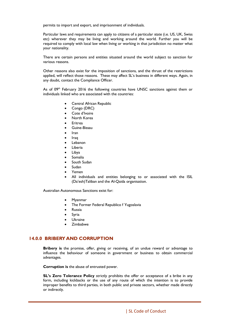permits to import and export, and imprisonment of individuals.

Particular laws and requirements can apply to citizens of a particular state (i.e. US, UK, Swiss etc) wherever they may be living and working around the world. Further you will be required to comply with local law when living or working in that jurisdiction no matter what your nationality.

There are certain persons and entities situated around the world subject to sanction for various reasons.

Other reasons also exist for the imposition of sanctions, and the thrust of the restrictions applied, will reflect those reasons. These may affect SL's business in different ways. Again, in any doubt, contact the Compliance Officer.

As of 09th February 2016 the following countries have UNSC sanctions against them or individuals linked who are associated with the countries:

- Central African Republic
- Congo (DRC)
- Cote d'Ivoire
- North Korea
- Eritrea
- Guine-Bissau
- Iran
- Iraq
- Lebanon
- **Liberia**
- Libya
- **Somalia**
- South Sudan
- Sudan
- Yemen
- All individuals and entities belonging to or associated with the ISIL (Da'esh)Taliban and the Al-Qaida organisation.

Australian Autonomous Sanctions exist for:

- Myanmar
- The Former Federal Republico f Yugoslavia
- **Russia**
- **Syria**
- **Ukraine**
- Zimbabwe

#### **14.0.0 BRIBERY AND CORRUPTION**

**Bribery is** the promise, offer, giving or receiving, of an undue reward or advantage to influence the behaviour of someone in government or business to obtain commercial advantages.

**Corruption is** the abuse of entrusted power.

**SL's Zero Tolerance Policy** strictly prohibits the offer or acceptance of a bribe in any form, including kickbacks or the use of any route of which the intention is to provide improper benefits to third parties, in both public and private sectors, whether made directly or indirectly.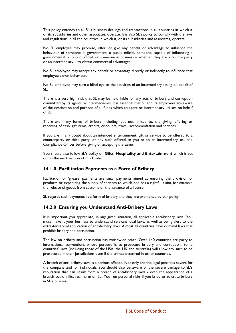This policy extends to all SL's business dealings and transactions in all countries in which it or its subsidiaries and other associates, operate. It is also SL's policy to comply with the laws and regulations in all the countries in which it, or its subsidiaries and associates, operate.

No SL employee may promise, offer, or give any benefit or advantage to influence the behaviour of someone in government, a public official, someone capable of influencing a governmental or public official; or someone in business – whether they are a counterparty or an intermediary – to obtain commercial advantages.

No SL employee may accept any benefit or advantage directly or indirectly to influence that employee's own behaviour.

No SL employee may turn a blind eye to the activities of an intermediary acting on behalf of SL.

There is a very high risk that SL may be held liable for any acts of bribery and corruption committed by its agents or intermediaries. It is essential that SL and its employees are aware of the destination and purpose of all funds which an agent or intermediary utilises on behalf of SL.

There are many forms of bribery including, but not limited to, the giving, offering or receiving of cash, gift items, credits, discounts, travel, accommodation and services.

If you are in any doubt about an intended entertainment, gift or service to be offered to a counterparty or third party, or any such offered to you or to an intermediary, ask the Compliance Officer before giving or accepting the same.

You should also follow SL's policy on **Gifts, Hospitality and Entertainment** which is set out in the next section of this Code.

#### **14.1.0 Facilitation Payments as a Form of Bribery**

Facilitation or 'grease' payments are small payments aimed at ensuring the provision of products or expediting the supply of services to which one has a rightful claim, for example the release of goods from customs or the issuance of a license.

SL regards such payments as a form of bribery and they are prohibited by our policy.

#### **14.2.0 Ensuring you Understand Anti-Bribery Laws**

It is important you appreciate, in any given situation, all applicable anti-bribery laws. You must make it your business to understand relevant local laws, as well as being alert to the extra-territorial application of anti-bribery laws. Almost all countries have criminal laws that prohibit bribery and corruption.

The law on bribery and corruption has worldwide reach. Over 140 countries are party to international conventions whose purpose is to prosecute bribery and corruption. Some countries' laws (including those of the USA, the UK and Australia) will allow any such to be prosecuted in their jurisdictions even if the crimes occurred in other countries.

A breach of anti-bribery laws is a serious offence. Not only are the legal penalties severe for the company and for individuals, you should also be aware of the severe damage to SL's reputation that can result from a breach of anti-bribery laws - even the appearance of a breach could inflict real harm on SL. You run personal risks if you bribe or tolerate bribery in SL's business.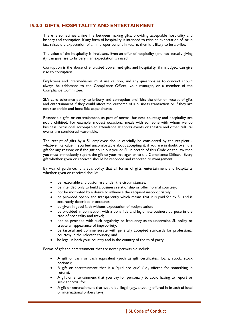# **15.0.0 GIFTS, HOSPITALITY AND ENTERTAINMENT**

There is sometimes a fine line between making gifts, providing acceptable hospitality and bribery and corruption. If any form of hospitality is intended to raise an expectation of, or in fact raises the expectation of an improper benefit in return, then it is likely to be a bribe.

The value of the hospitality is irrelevant. Even an offer of hospitality (and not actually giving it), can give rise to bribery if an expectation is raised.

Corruption is the abuse of entrusted power and gifts and hospitality, if misjudged, can give rise to corruption.

Employees and intermediaries must use caution, and any questions as to conduct should always be addressed to the Compliance Officer, your manager, or a member of the Compliance Committee.

SL's zero tolerance policy to bribery and corruption prohibits the offer or receipt of gifts and entertainment if they could affect the outcome of a business transaction or if they are not reasonable and bona fide expenditures.

Reasonable gifts or entertainment, as part of normal business courtesy and hospitality are not prohibited. For example, modest occasional meals with someone with whom we do business, occasional accompanied attendance at sports events or theatre and other cultural events are considered reasonable.

The receipt of gifts by a SL employee should carefully be considered by the recipient whatever its value. If you feel uncomfortable about accepting it; if you are in doubt over the gift for any reason; or if the gift could put you or SL in breach of this Code or the law then you must immediately report the gift to your manager or to the Compliance Officer. Every gift whether given or received should be recorded and reported to management.

By way of guidance, it is SL's policy that all forms of gifts, entertainment and hospitality whether given or received should:

- be reasonable and customary under the circumstances;
- be intended only to build a business relationship or offer normal courtesy;
- not be motivated by a desire to influence the recipient inappropriately;
- be provided openly and transparently which means that it is paid for by SL and is accurately described in accounts;
- be given in good faith without expectation of reciprocation;
- be provided in connection with a bona fide and legitimate business purpose in the case of hospitality and travel;
- not be provided with such regularity or frequency as to undermine SL policy or create an appearance of impropriety;
- be tasteful and commensurate with generally accepted standards for professional courtesy in the relevant country; and
- be legal in both your country and in the country of the third party.

Forms of gift and entertainment that are never permissible include:

- A gift of cash or cash equivalent (such as gift certificates, loans, stock, stock options);
- A gift or entertainment that is a 'quid pro quo' (i.e., offered for something in return);
- A gift or entertainment that you pay for personally to avoid having to report or seek approval for;
- A gift or entertainment that would be illegal (e.g., anything offered in breach of local or international bribery laws).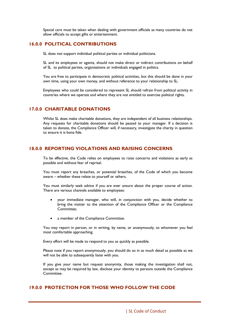Special care must be taken when dealing with government officials as many countries do not allow officials to accept gifts or entertainment.

#### **16.0.0 POLITICAL CONTRIBUTIONS**

SL does not support individual political parties or individual politicians.

SL and its employees or agents, should not make direct or indirect contributions on behalf of SL to political parties, organisations or individuals engaged in politics.

You are free to participate in democratic political activities, but this should be done in your own time, using your own money, and without reference to your relationship to SL.

Employees who could be considered to represent SL should refrain from political activity in countries where we operate and where they are not entitled to exercise political rights.

#### **17.0.0 CHARITABLE DONATIONS**

Whilst SL does make charitable donations, they are independent of all business relationships. Any requests for charitable donations should be passed to your manager. If a decision is taken to donate, the Compliance Officer will, if necessary, investigate the charity in question to ensure it is bona fide.

#### **18.0.0 REPORTING VIOLATIONS AND RAISING CONCERNS**

To be effective, the Code relies on employees to raise concerns and violations as early as possible and without fear of reprisal.

You must report any breaches, or potential breaches, of the Code of which you become aware – whether these relate to yourself or others.

You must similarly seek advice if you are ever unsure about the proper course of action. There are various channels available to employees:

- your immediate manager, who will, in conjunction with you, decide whether to bring the matter to the attention of the Compliance Officer or the Compliance Committee;
- a member of the Compliance Committee.

You may report in person, or in writing, by name, or anonymously, to whomever you feel most comfortable approaching.

Every effort will be made to respond to you as quickly as possible.

Please note if you report anonymously, you should do so in as much detail as possible as we will not be able to subsequently liaise with you.

If you give your name but request anonymity, those making the investigation shall not, except as may be required by law, disclose your identity to persons outside the Compliance Committee.

# **19.0.0 PROTECTION FOR THOSE WHO FOLLOW THE CODE**